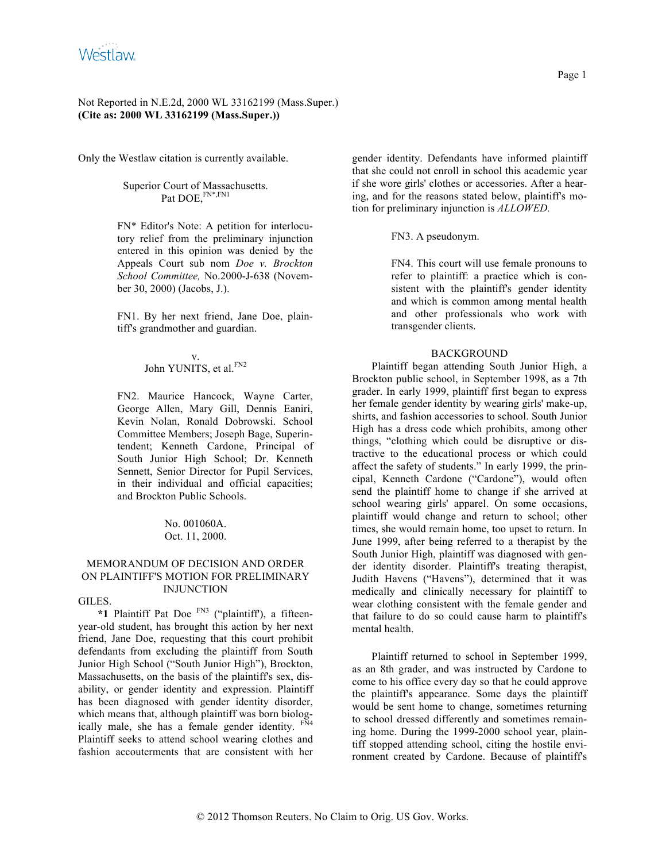Only the Westlaw citation is currently available.

Superior Court of Massachusetts. Pat DOE, FN\*, FN1

FN\* Editor's Note: A petition for interlocutory relief from the preliminary injunction entered in this opinion was denied by the Appeals Court sub nom *Doe v. Brockton School Committee,* No.2000-J-638 (November 30, 2000) (Jacobs, J.).

FN1. By her next friend, Jane Doe, plaintiff's grandmother and guardian.

> v. John YUNITS, et al. FN2

FN2. Maurice Hancock, Wayne Carter, George Allen, Mary Gill, Dennis Eaniri, Kevin Nolan, Ronald Dobrowski. School Committee Members; Joseph Bage, Superintendent; Kenneth Cardone, Principal of South Junior High School; Dr. Kenneth Sennett, Senior Director for Pupil Services, in their individual and official capacities; and Brockton Public Schools.

> No. 001060A. Oct. 11, 2000.

#### MEMORANDUM OF DECISION AND ORDER ON PLAINTIFF'S MOTION FOR PRELIMINARY INJUNCTION

GILES.

**\*1** Plaintiff Pat Doe FN3 ("plaintiff'), a fifteenyear-old student, has brought this action by her next friend, Jane Doe, requesting that this court prohibit defendants from excluding the plaintiff from South Junior High School ("South Junior High"), Brockton, Massachusetts, on the basis of the plaintiff's sex, disability, or gender identity and expression. Plaintiff has been diagnosed with gender identity disorder, which means that, although plaintiff was born biologically male, she has a female gender identity.  $F<sup>A</sup>$ Plaintiff seeks to attend school wearing clothes and fashion accouterments that are consistent with her

gender identity. Defendants have informed plaintiff that she could not enroll in school this academic year if she wore girls' clothes or accessories. After a hearing, and for the reasons stated below, plaintiff's motion for preliminary injunction is *ALLOWED.*

FN3. A pseudonym.

FN4. This court will use female pronouns to refer to plaintiff: a practice which is consistent with the plaintiff's gender identity and which is common among mental health and other professionals who work with transgender clients.

### BACKGROUND

Plaintiff began attending South Junior High, a Brockton public school, in September 1998, as a 7th grader. In early 1999, plaintiff first began to express her female gender identity by wearing girls' make-up, shirts, and fashion accessories to school. South Junior High has a dress code which prohibits, among other things, "clothing which could be disruptive or distractive to the educational process or which could affect the safety of students." In early 1999, the principal, Kenneth Cardone ("Cardone"), would often send the plaintiff home to change if she arrived at school wearing girls' apparel. On some occasions, plaintiff would change and return to school; other times, she would remain home, too upset to return. In June 1999, after being referred to a therapist by the South Junior High, plaintiff was diagnosed with gender identity disorder. Plaintiff's treating therapist, Judith Havens ("Havens"), determined that it was medically and clinically necessary for plaintiff to wear clothing consistent with the female gender and that failure to do so could cause harm to plaintiff's mental health.

Plaintiff returned to school in September 1999, as an 8th grader, and was instructed by Cardone to come to his office every day so that he could approve the plaintiff's appearance. Some days the plaintiff would be sent home to change, sometimes returning to school dressed differently and sometimes remaining home. During the 1999-2000 school year, plaintiff stopped attending school, citing the hostile environment created by Cardone. Because of plaintiff's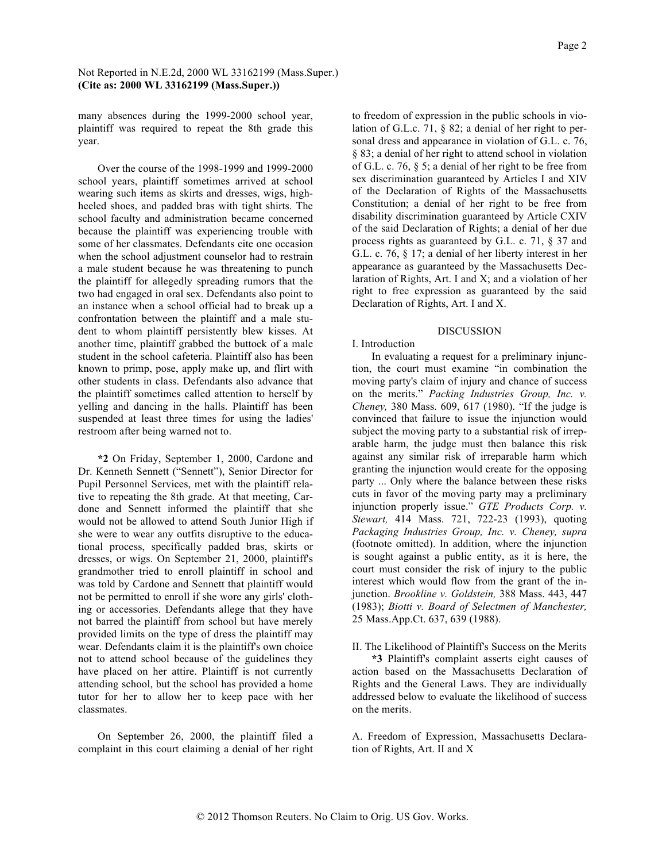many absences during the 1999-2000 school year, plaintiff was required to repeat the 8th grade this year.

Over the course of the 1998-1999 and 1999-2000 school years, plaintiff sometimes arrived at school wearing such items as skirts and dresses, wigs, highheeled shoes, and padded bras with tight shirts. The school faculty and administration became concerned because the plaintiff was experiencing trouble with some of her classmates. Defendants cite one occasion when the school adjustment counselor had to restrain a male student because he was threatening to punch the plaintiff for allegedly spreading rumors that the two had engaged in oral sex. Defendants also point to an instance when a school official had to break up a confrontation between the plaintiff and a male student to whom plaintiff persistently blew kisses. At another time, plaintiff grabbed the buttock of a male student in the school cafeteria. Plaintiff also has been known to primp, pose, apply make up, and flirt with other students in class. Defendants also advance that the plaintiff sometimes called attention to herself by yelling and dancing in the halls. Plaintiff has been suspended at least three times for using the ladies' restroom after being warned not to.

**\*2** On Friday, September 1, 2000, Cardone and Dr. Kenneth Sennett ("Sennett"), Senior Director for Pupil Personnel Services, met with the plaintiff relative to repeating the 8th grade. At that meeting, Cardone and Sennett informed the plaintiff that she would not be allowed to attend South Junior High if she were to wear any outfits disruptive to the educational process, specifically padded bras, skirts or dresses, or wigs. On September 21, 2000, plaintiff's grandmother tried to enroll plaintiff in school and was told by Cardone and Sennett that plaintiff would not be permitted to enroll if she wore any girls' clothing or accessories. Defendants allege that they have not barred the plaintiff from school but have merely provided limits on the type of dress the plaintiff may wear. Defendants claim it is the plaintiff's own choice not to attend school because of the guidelines they have placed on her attire. Plaintiff is not currently attending school, but the school has provided a home tutor for her to allow her to keep pace with her classmates.

On September 26, 2000, the plaintiff filed a complaint in this court claiming a denial of her right

to freedom of expression in the public schools in violation of G.L.c. 71, § 82; a denial of her right to personal dress and appearance in violation of G.L. c. 76, § 83; a denial of her right to attend school in violation of G.L. c. 76, § 5; a denial of her right to be free from sex discrimination guaranteed by Articles I and XIV of the Declaration of Rights of the Massachusetts Constitution; a denial of her right to be free from disability discrimination guaranteed by Article CXIV of the said Declaration of Rights; a denial of her due process rights as guaranteed by G.L. c. 71, § 37 and G.L. c. 76, § 17; a denial of her liberty interest in her appearance as guaranteed by the Massachusetts Declaration of Rights, Art. I and X; and a violation of her right to free expression as guaranteed by the said Declaration of Rights, Art. I and X.

#### DISCUSSION

### I. Introduction

In evaluating a request for a preliminary injunction, the court must examine "in combination the moving party's claim of injury and chance of success on the merits." *Packing Industries Group, Inc. v. Cheney,* 380 Mass. 609, 617 (1980). "If the judge is convinced that failure to issue the injunction would subject the moving party to a substantial risk of irreparable harm, the judge must then balance this risk against any similar risk of irreparable harm which granting the injunction would create for the opposing party ... Only where the balance between these risks cuts in favor of the moving party may a preliminary injunction properly issue." *GTE Products Corp. v. Stewart,* 414 Mass. 721, 722-23 (1993), quoting *Packaging Industries Group, Inc. v. Cheney, supra* (footnote omitted). In addition, where the injunction is sought against a public entity, as it is here, the court must consider the risk of injury to the public interest which would flow from the grant of the injunction. *Brookline v. Goldstein,* 388 Mass. 443, 447 (1983); *Biotti v. Board of Selectmen of Manchester,* 25 Mass.App.Ct. 637, 639 (1988).

II. The Likelihood of Plaintiff's Success on the Merits

**\*3** Plaintiff's complaint asserts eight causes of action based on the Massachusetts Declaration of Rights and the General Laws. They are individually addressed below to evaluate the likelihood of success on the merits.

A. Freedom of Expression, Massachusetts Declaration of Rights, Art. II and X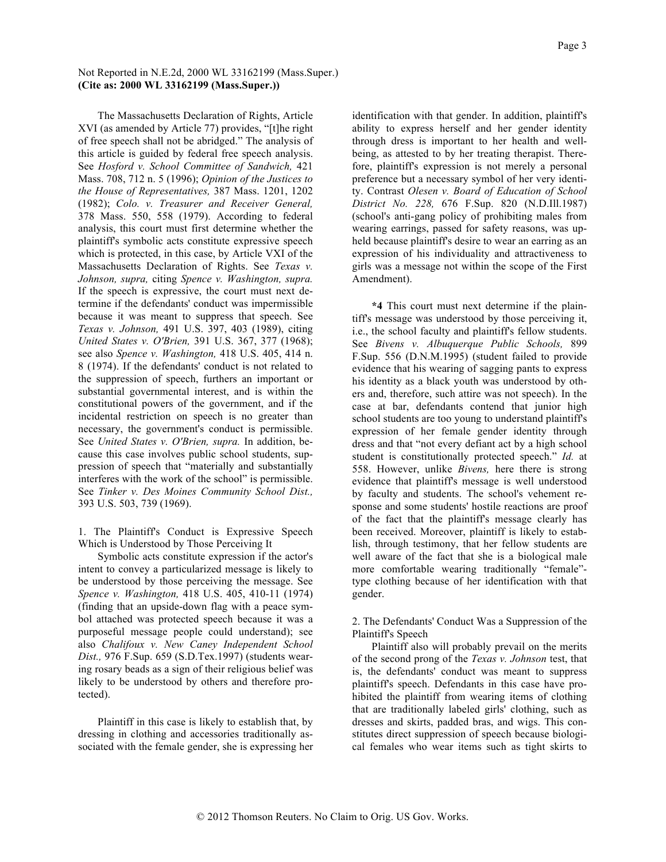The Massachusetts Declaration of Rights, Article XVI (as amended by Article 77) provides, "[t]he right of free speech shall not be abridged." The analysis of this article is guided by federal free speech analysis. See *Hosford v. School Committee of Sandwich,* 421 Mass. 708, 712 n. 5 (1996); *Opinion of the Justices to the House of Representatives,* 387 Mass. 1201, 1202 (1982); *Colo. v. Treasurer and Receiver General,* 378 Mass. 550, 558 (1979). According to federal analysis, this court must first determine whether the plaintiff's symbolic acts constitute expressive speech which is protected, in this case, by Article VXI of the Massachusetts Declaration of Rights. See *Texas v. Johnson, supra,* citing *Spence v. Washington, supra.* If the speech is expressive, the court must next determine if the defendants' conduct was impermissible because it was meant to suppress that speech. See *Texas v. Johnson,* 491 U.S. 397, 403 (1989), citing *United States v. O'Brien,* 391 U.S. 367, 377 (1968); see also *Spence v. Washington,* 418 U.S. 405, 414 n. 8 (1974). If the defendants' conduct is not related to the suppression of speech, furthers an important or substantial governmental interest, and is within the constitutional powers of the government, and if the incidental restriction on speech is no greater than necessary, the government's conduct is permissible. See *United States v. O'Brien, supra.* In addition, because this case involves public school students, suppression of speech that "materially and substantially interferes with the work of the school" is permissible. See *Tinker v. Des Moines Community School Dist.,* 393 U.S. 503, 739 (1969).

1. The Plaintiff's Conduct is Expressive Speech Which is Understood by Those Perceiving It

Symbolic acts constitute expression if the actor's intent to convey a particularized message is likely to be understood by those perceiving the message. See *Spence v. Washington,* 418 U.S. 405, 410-11 (1974) (finding that an upside-down flag with a peace symbol attached was protected speech because it was a purposeful message people could understand); see also *Chalifoux v. New Caney Independent School Dist.,* 976 F.Sup. 659 (S.D.Tex.1997) (students wearing rosary beads as a sign of their religious belief was likely to be understood by others and therefore protected).

Plaintiff in this case is likely to establish that, by dressing in clothing and accessories traditionally associated with the female gender, she is expressing her

identification with that gender. In addition, plaintiff's ability to express herself and her gender identity through dress is important to her health and wellbeing, as attested to by her treating therapist. Therefore, plaintiff's expression is not merely a personal preference but a necessary symbol of her very identity. Contrast *Olesen v. Board of Education of School District No. 228,* 676 F.Sup. 820 (N.D.Ill.1987) (school's anti-gang policy of prohibiting males from wearing earrings, passed for safety reasons, was upheld because plaintiff's desire to wear an earring as an expression of his individuality and attractiveness to girls was a message not within the scope of the First Amendment).

**\*4** This court must next determine if the plaintiff's message was understood by those perceiving it, i.e., the school faculty and plaintiff's fellow students. See *Bivens v. Albuquerque Public Schools,* 899 F.Sup. 556 (D.N.M.1995) (student failed to provide evidence that his wearing of sagging pants to express his identity as a black youth was understood by others and, therefore, such attire was not speech). In the case at bar, defendants contend that junior high school students are too young to understand plaintiff's expression of her female gender identity through dress and that "not every defiant act by a high school student is constitutionally protected speech." *Id.* at 558. However, unlike *Bivens,* here there is strong evidence that plaintiff's message is well understood by faculty and students. The school's vehement response and some students' hostile reactions are proof of the fact that the plaintiff's message clearly has been received. Moreover, plaintiff is likely to establish, through testimony, that her fellow students are well aware of the fact that she is a biological male more comfortable wearing traditionally "female" type clothing because of her identification with that gender.

2. The Defendants' Conduct Was a Suppression of the Plaintiff's Speech

Plaintiff also will probably prevail on the merits of the second prong of the *Texas v. Johnson* test, that is, the defendants' conduct was meant to suppress plaintiff's speech. Defendants in this case have prohibited the plaintiff from wearing items of clothing that are traditionally labeled girls' clothing, such as dresses and skirts, padded bras, and wigs. This constitutes direct suppression of speech because biological females who wear items such as tight skirts to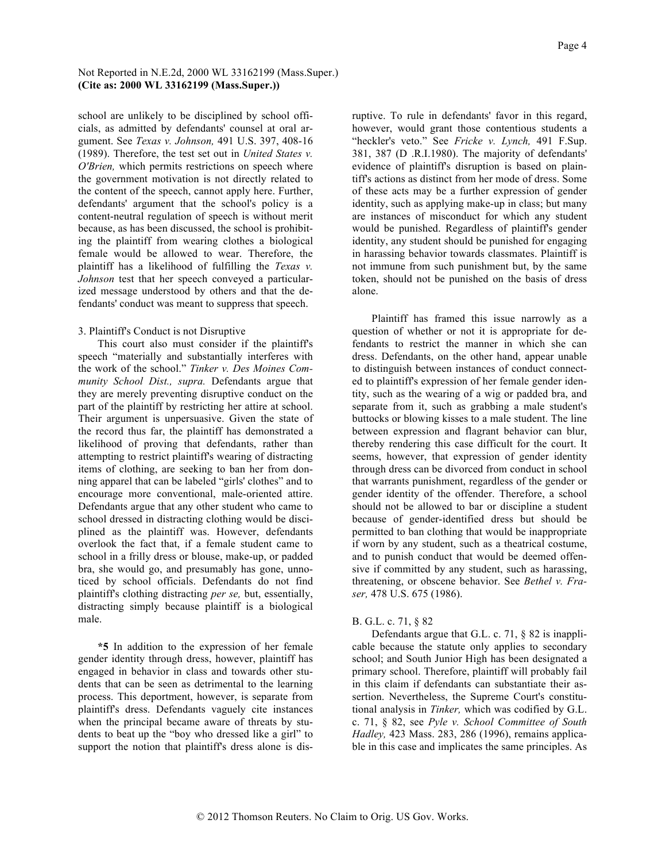school are unlikely to be disciplined by school officials, as admitted by defendants' counsel at oral argument. See *Texas v. Johnson,* 491 U.S. 397, 408-16 (1989). Therefore, the test set out in *United States v. O'Brien,* which permits restrictions on speech where the government motivation is not directly related to the content of the speech, cannot apply here. Further, defendants' argument that the school's policy is a content-neutral regulation of speech is without merit because, as has been discussed, the school is prohibiting the plaintiff from wearing clothes a biological female would be allowed to wear. Therefore, the plaintiff has a likelihood of fulfilling the *Texas v. Johnson* test that her speech conveyed a particularized message understood by others and that the defendants' conduct was meant to suppress that speech.

#### 3. Plaintiff's Conduct is not Disruptive

This court also must consider if the plaintiff's speech "materially and substantially interferes with the work of the school." *Tinker v. Des Moines Community School Dist., supra.* Defendants argue that they are merely preventing disruptive conduct on the part of the plaintiff by restricting her attire at school. Their argument is unpersuasive. Given the state of the record thus far, the plaintiff has demonstrated a likelihood of proving that defendants, rather than attempting to restrict plaintiff's wearing of distracting items of clothing, are seeking to ban her from donning apparel that can be labeled "girls' clothes" and to encourage more conventional, male-oriented attire. Defendants argue that any other student who came to school dressed in distracting clothing would be disciplined as the plaintiff was. However, defendants overlook the fact that, if a female student came to school in a frilly dress or blouse, make-up, or padded bra, she would go, and presumably has gone, unnoticed by school officials. Defendants do not find plaintiff's clothing distracting *per se,* but, essentially, distracting simply because plaintiff is a biological male.

**\*5** In addition to the expression of her female gender identity through dress, however, plaintiff has engaged in behavior in class and towards other students that can be seen as detrimental to the learning process. This deportment, however, is separate from plaintiff's dress. Defendants vaguely cite instances when the principal became aware of threats by students to beat up the "boy who dressed like a girl" to support the notion that plaintiff's dress alone is dis-

ruptive. To rule in defendants' favor in this regard, however, would grant those contentious students a "heckler's veto." See *Fricke v. Lynch,* 491 F.Sup. 381, 387 (D .R.I.1980). The majority of defendants' evidence of plaintiff's disruption is based on plaintiff's actions as distinct from her mode of dress. Some of these acts may be a further expression of gender identity, such as applying make-up in class; but many are instances of misconduct for which any student would be punished. Regardless of plaintiff's gender identity, any student should be punished for engaging in harassing behavior towards classmates. Plaintiff is not immune from such punishment but, by the same token, should not be punished on the basis of dress alone.

Plaintiff has framed this issue narrowly as a question of whether or not it is appropriate for defendants to restrict the manner in which she can dress. Defendants, on the other hand, appear unable to distinguish between instances of conduct connected to plaintiff's expression of her female gender identity, such as the wearing of a wig or padded bra, and separate from it, such as grabbing a male student's buttocks or blowing kisses to a male student. The line between expression and flagrant behavior can blur, thereby rendering this case difficult for the court. It seems, however, that expression of gender identity through dress can be divorced from conduct in school that warrants punishment, regardless of the gender or gender identity of the offender. Therefore, a school should not be allowed to bar or discipline a student because of gender-identified dress but should be permitted to ban clothing that would be inappropriate if worn by any student, such as a theatrical costume, and to punish conduct that would be deemed offensive if committed by any student, such as harassing, threatening, or obscene behavior. See *Bethel v. Fraser,* 478 U.S. 675 (1986).

#### B. G.L. c. 71, § 82

Defendants argue that G.L. c. 71, § 82 is inapplicable because the statute only applies to secondary school; and South Junior High has been designated a primary school. Therefore, plaintiff will probably fail in this claim if defendants can substantiate their assertion. Nevertheless, the Supreme Court's constitutional analysis in *Tinker,* which was codified by G.L. c. 71, § 82, see *Pyle v. School Committee of South Hadley,* 423 Mass. 283, 286 (1996), remains applicable in this case and implicates the same principles. As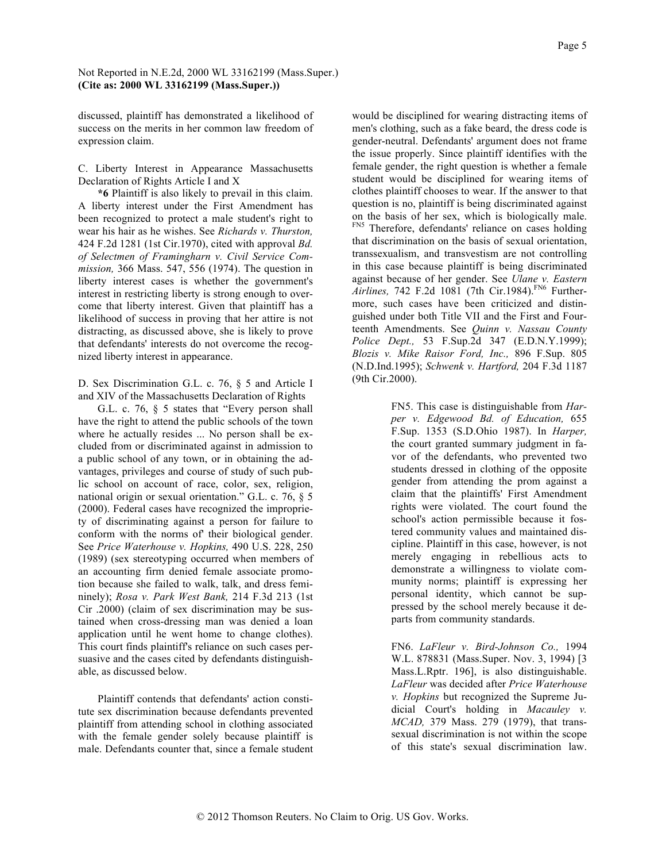discussed, plaintiff has demonstrated a likelihood of success on the merits in her common law freedom of expression claim.

C. Liberty Interest in Appearance Massachusetts Declaration of Rights Article I and X

**\*6** Plaintiff is also likely to prevail in this claim. A liberty interest under the First Amendment has been recognized to protect a male student's right to wear his hair as he wishes. See *Richards v. Thurston,* 424 F.2d 1281 (1st Cir.1970), cited with approval *Bd. of Selectmen of Framingharn v. Civil Service Commission,* 366 Mass. 547, 556 (1974). The question in liberty interest cases is whether the government's interest in restricting liberty is strong enough to overcome that liberty interest. Given that plaintiff has a likelihood of success in proving that her attire is not distracting, as discussed above, she is likely to prove that defendants' interests do not overcome the recognized liberty interest in appearance.

D. Sex Discrimination G.L. c. 76, § 5 and Article I and XIV of the Massachusetts Declaration of Rights

G.L. c. 76, § 5 states that "Every person shall have the right to attend the public schools of the town where he actually resides ... No person shall be excluded from or discriminated against in admission to a public school of any town, or in obtaining the advantages, privileges and course of study of such public school on account of race, color, sex, religion, national origin or sexual orientation." G.L. c. 76, § 5 (2000). Federal cases have recognized the impropriety of discriminating against a person for failure to conform with the norms of' their biological gender. See *Price Waterhouse v. Hopkins,* 490 U.S. 228, 250 (1989) (sex stereotyping occurred when members of an accounting firm denied female associate promotion because she failed to walk, talk, and dress femininely); *Rosa v. Park West Bank,* 214 F.3d 213 (1st Cir .2000) (claim of sex discrimination may be sustained when cross-dressing man was denied a loan application until he went home to change clothes). This court finds plaintiff's reliance on such cases persuasive and the cases cited by defendants distinguishable, as discussed below.

Plaintiff contends that defendants' action constitute sex discrimination because defendants prevented plaintiff from attending school in clothing associated with the female gender solely because plaintiff is male. Defendants counter that, since a female student

would be disciplined for wearing distracting items of men's clothing, such as a fake beard, the dress code is gender-neutral. Defendants' argument does not frame the issue properly. Since plaintiff identifies with the female gender, the right question is whether a female student would be disciplined for wearing items of clothes plaintiff chooses to wear. If the answer to that question is no, plaintiff is being discriminated against on the basis of her sex, which is biologically male. **FN5** Therefore, defendants' reliance on cases holding that discrimination on the basis of sexual orientation, transsexualism, and transvestism are not controlling in this case because plaintiff is being discriminated against because of her gender. See *Ulane v. Eastern*  Airlines, 742 F.2d 1081 (7th Cir.1984).<sup>FN6</sup> Furthermore, such cases have been criticized and distinguished under both Title VII and the First and Fourteenth Amendments. See *Quinn v. Nassau County Police Dept.,* 53 F.Sup.2d 347 (E.D.N.Y.1999); *Blozis v. Mike Raisor Ford, Inc.,* 896 F.Sup. 805 (N.D.Ind.1995); *Schwenk v. Hartford,* 204 F.3d 1187 (9th Cir.2000).

> FN5. This case is distinguishable from *Harper v. Edgewood Bd. of Education,* 655 F.Sup. 1353 (S.D.Ohio 1987). In *Harper,* the court granted summary judgment in favor of the defendants, who prevented two students dressed in clothing of the opposite gender from attending the prom against a claim that the plaintiffs' First Amendment rights were violated. The court found the school's action permissible because it fostered community values and maintained discipline. Plaintiff in this case, however, is not merely engaging in rebellious acts to demonstrate a willingness to violate community norms; plaintiff is expressing her personal identity, which cannot be suppressed by the school merely because it departs from community standards.

> FN6. *LaFleur v. Bird-Johnson Co.,* 1994 W.L. 878831 (Mass.Super. Nov. 3, 1994) [3 Mass.L.Rptr. 196], is also distinguishable. *LaFleur* was decided after *Price Waterhouse v. Hopkins* but recognized the Supreme Judicial Court's holding in *Macauley v. MCAD,* 379 Mass. 279 (1979), that transsexual discrimination is not within the scope of this state's sexual discrimination law.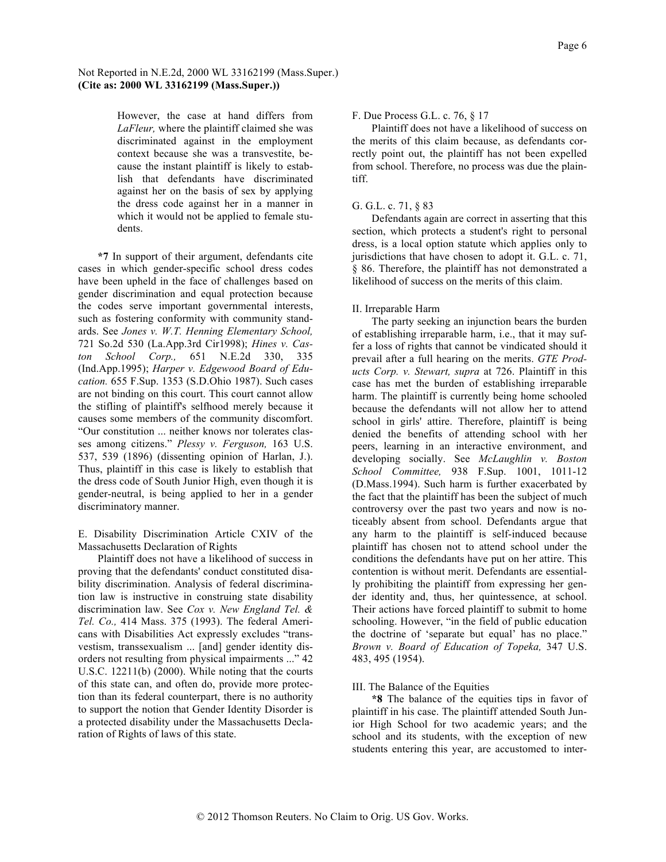However, the case at hand differs from *LaFleur,* where the plaintiff claimed she was discriminated against in the employment context because she was a transvestite, because the instant plaintiff is likely to establish that defendants have discriminated against her on the basis of sex by applying the dress code against her in a manner in which it would not be applied to female students.

**\*7** In support of their argument, defendants cite cases in which gender-specific school dress codes have been upheld in the face of challenges based on gender discrimination and equal protection because the codes serve important governmental interests, such as fostering conformity with community standards. See *Jones v. W.T. Henning Elementary School,* 721 So.2d 530 (La.App.3rd Cir1998); *Hines v. Caston School Corp.,* 651 N.E.2d 330, 335 (Ind.App.1995); *Harper v. Edgewood Board of Education.* 655 F.Sup. 1353 (S.D.Ohio 1987). Such cases are not binding on this court. This court cannot allow the stifling of plaintiff's selfhood merely because it causes some members of the community discomfort. "Our constitution ... neither knows nor tolerates classes among citizens." *Plessy v. Ferguson,* 163 U.S. 537, 539 (1896) (dissenting opinion of Harlan, J.). Thus, plaintiff in this case is likely to establish that the dress code of South Junior High, even though it is gender-neutral, is being applied to her in a gender discriminatory manner.

E. Disability Discrimination Article CXIV of the Massachusetts Declaration of Rights

Plaintiff does not have a likelihood of success in proving that the defendants' conduct constituted disability discrimination. Analysis of federal discrimination law is instructive in construing state disability discrimination law. See *Cox v. New England Tel. & Tel. Co.,* 414 Mass. 375 (1993). The federal Americans with Disabilities Act expressly excludes "transvestism, transsexualism ... [and] gender identity disorders not resulting from physical impairments ..." 42 U.S.C. 12211(b) (2000). While noting that the courts of this state can, and often do, provide more protection than its federal counterpart, there is no authority to support the notion that Gender Identity Disorder is a protected disability under the Massachusetts Declaration of Rights of laws of this state.

### F. Due Process G.L. c. 76, § 17

Plaintiff does not have a likelihood of success on the merits of this claim because, as defendants correctly point out, the plaintiff has not been expelled from school. Therefore, no process was due the plaintiff.

## G. G.L. c. 71, § 83

Defendants again are correct in asserting that this section, which protects a student's right to personal dress, is a local option statute which applies only to jurisdictions that have chosen to adopt it. G.L. c. 71, § 86. Therefore, the plaintiff has not demonstrated a likelihood of success on the merits of this claim.

### II. Irreparable Harm

The party seeking an injunction bears the burden of establishing irreparable harm, i.e., that it may suffer a loss of rights that cannot be vindicated should it prevail after a full hearing on the merits. *GTE Products Corp. v. Stewart, supra* at 726. Plaintiff in this case has met the burden of establishing irreparable harm. The plaintiff is currently being home schooled because the defendants will not allow her to attend school in girls' attire. Therefore, plaintiff is being denied the benefits of attending school with her peers, learning in an interactive environment, and developing socially. See *McLaughlin v. Boston School Committee,* 938 F.Sup. 1001, 1011-12 (D.Mass.1994). Such harm is further exacerbated by the fact that the plaintiff has been the subject of much controversy over the past two years and now is noticeably absent from school. Defendants argue that any harm to the plaintiff is self-induced because plaintiff has chosen not to attend school under the conditions the defendants have put on her attire. This contention is without merit. Defendants are essentially prohibiting the plaintiff from expressing her gender identity and, thus, her quintessence, at school. Their actions have forced plaintiff to submit to home schooling. However, "in the field of public education the doctrine of 'separate but equal' has no place." *Brown v. Board of Education of Topeka,* 347 U.S. 483, 495 (1954).

# III. The Balance of the Equities

**\*8** The balance of the equities tips in favor of plaintiff in his case. The plaintiff attended South Junior High School for two academic years; and the school and its students, with the exception of new students entering this year, are accustomed to inter-